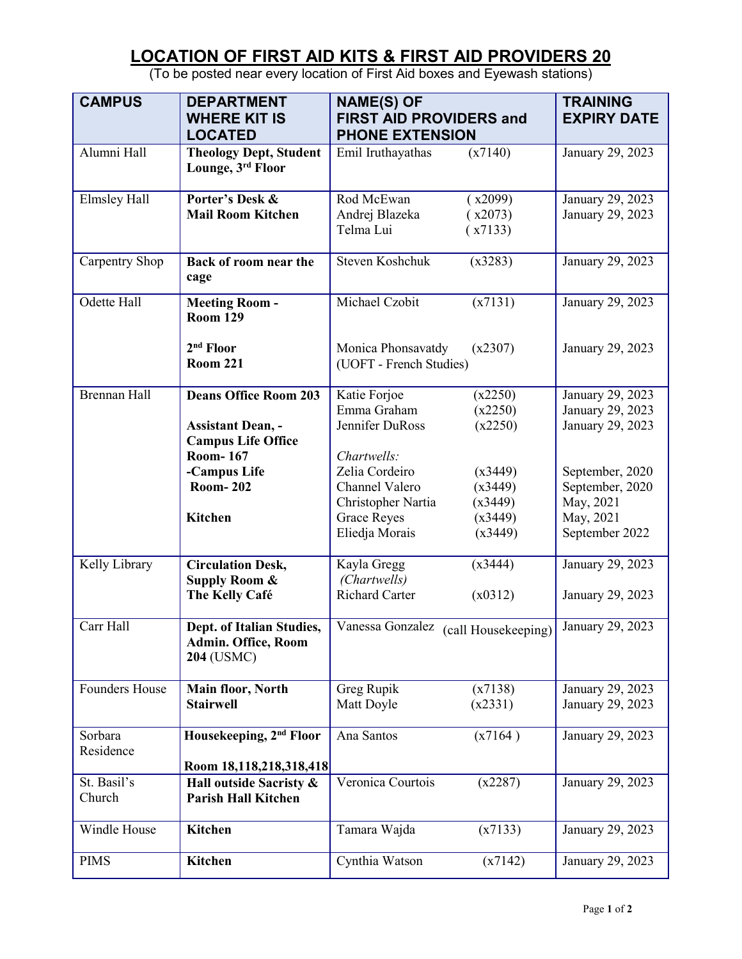## **LOCATION OF FIRST AID KITS & FIRST AID PROVIDERS 20**

| <b>CAMPUS</b>         | <b>DEPARTMENT</b><br><b>WHERE KIT IS</b><br><b>LOCATED</b>                            | <b>NAME(S) OF</b><br><b>FIRST AID PROVIDERS and</b><br><b>PHONE EXTENSION</b>                          | <b>TRAINING</b><br><b>EXPIRY DATE</b>                    |
|-----------------------|---------------------------------------------------------------------------------------|--------------------------------------------------------------------------------------------------------|----------------------------------------------------------|
| Alumni Hall           | <b>Theology Dept, Student</b><br>Lounge, 3rd Floor                                    | (x7140)<br>Emil Iruthayathas                                                                           | January 29, 2023                                         |
| <b>Elmsley Hall</b>   | Porter's Desk &<br><b>Mail Room Kitchen</b>                                           | Rod McEwan<br>(x2099)<br>Andrej Blazeka<br>(x2073)<br>Telma Lui<br>(x7133)                             | January 29, 2023<br>January 29, 2023                     |
| Carpentry Shop        | Back of room near the<br>cage                                                         | Steven Koshchuk<br>(x3283)                                                                             | January 29, 2023                                         |
| Odette Hall           | <b>Meeting Room-</b><br><b>Room 129</b>                                               | Michael Czobit<br>(x7131)                                                                              | January 29, 2023                                         |
|                       | $2nd$ Floor<br><b>Room 221</b>                                                        | Monica Phonsavatdy<br>(x2307)<br>January 29, 2023<br>(UOFT - French Studies)                           |                                                          |
| <b>Brennan Hall</b>   | <b>Deans Office Room 203</b><br><b>Assistant Dean, -</b><br><b>Campus Life Office</b> | Katie Forjoe<br>(x2250)<br>Emma Graham<br>(x2250)<br>Jennifer DuRoss<br>(x2250)                        | January 29, 2023<br>January 29, 2023<br>January 29, 2023 |
|                       | <b>Room-167</b><br>-Campus Life<br><b>Room-202</b>                                    | Chartwells:<br>Zelia Cordeiro<br>(x3449)<br>Channel Valero<br>(x3449)<br>Christopher Nartia<br>(x3449) | September, 2020<br>September, 2020<br>May, 2021          |
|                       | <b>Kitchen</b>                                                                        | <b>Grace Reyes</b><br>(x3449)<br>Eliedja Morais<br>(x3449)                                             | May, 2021<br>September 2022                              |
| Kelly Library         | <b>Circulation Desk,</b><br><b>Supply Room &amp;</b><br>The Kelly Café                | Kayla Gregg<br>(x3444)<br>(Chartwells)<br><b>Richard Carter</b><br>(x0312)                             | January 29, 2023<br>January 29, 2023                     |
| Carr Hall             | Dept. of Italian Studies,<br><b>Admin. Office, Room</b><br>204 (USMC)                 | Vanessa Gonzalez (call Housekeeping) January 29, 2023                                                  |                                                          |
| <b>Founders House</b> | Main floor, North<br><b>Stairwell</b>                                                 | Greg Rupik<br>(x7138)<br>(x2331)<br>Matt Doyle                                                         | January 29, 2023<br>January 29, 2023                     |
| Sorbara<br>Residence  | Housekeeping, 2 <sup>nd</sup> Floor<br>Room 18,118,218,318,418                        | Ana Santos<br>(x7164)                                                                                  | January 29, 2023                                         |
| St. Basil's<br>Church | Hall outside Sacristy &<br><b>Parish Hall Kitchen</b>                                 | Veronica Courtois<br>(x2287)                                                                           | January 29, 2023                                         |
| Windle House          | Kitchen                                                                               | Tamara Wajda<br>(x7133)                                                                                | January 29, 2023                                         |
| <b>PIMS</b>           | Kitchen                                                                               | Cynthia Watson<br>(x7142)                                                                              | January 29, 2023                                         |

(To be posted near every location of First Aid boxes and Eyewash stations)